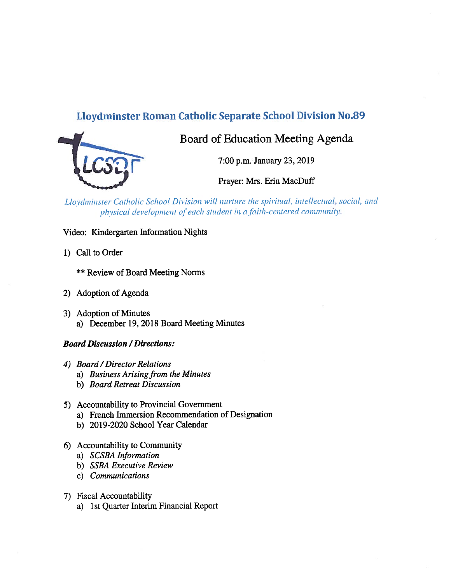# Lloydminster Roman Catholic Separate School Division No.89



# Board of Education Meeting Agenda

7:00 p.m. January 23, 2019

Prayer: Mrs. Erin MacDuff

Lloydminster Catholic School Division will nurture the spiritual, intellectual, social, and physical development of each student in a faith-centered community.

## Video: Kindergarten Information Nights

1) Call to Order

\*\* Review of Board Meeting Norms

- 2) Adoption of Agenda
- 3) Adoption of Minutes a) December 19, 2018 Board Meeting Minutes

# **Board Discussion / Directions:**

- 4) Board /Director Relations
	- a) Business Arising from the Minutes
	- b) Board Retreat Discussion
- 5) Accountability to Provincial Government
	- a) French Immersion Recommendation of Designation
	- b) 2019-2020 School Year Calendar
- 6) Accountability to Community
	- a) SCSBA Information
	- b) SSBA Executive Review
	- c) Communications

# 7) fiscal Accountability

a) 1st Quarter Interim Financial Report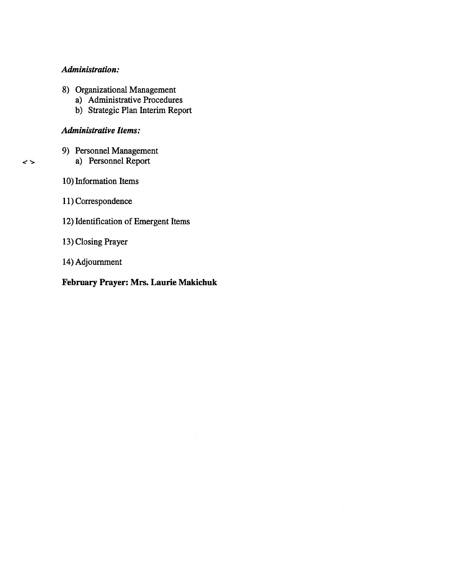## Administration:

- 8) Organizational Management
	- a) Administrative Procedures
	- b) Strategic Plan Interim Report

## Administrative Items:

- 9) Personnel Management
	- a) Personnel Report
- 10) Information Items

 $\rightarrow$ 

- 11) Correspondence
- 12) Identification of Emergent Items
- 13) Closing Prayer
- 14) Adjournment

# February Prayer: Mrs. Laurie Makichuk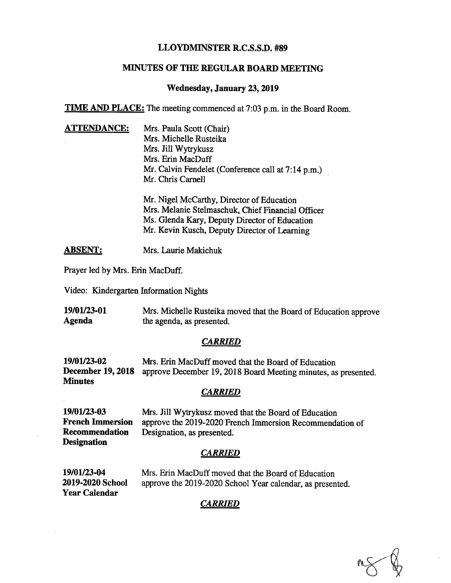## LLOYDMINSTER R.C.S.S.D. #89

## MINUTES OF THE REGULAR BOARD MEETING

#### Wednesday, January 23,2019

TIME AND PLACE: The meeting commenced at 7:03 p.m. in the Board Room.

**ATTENDANCE:** Mrs. Paula Scott (Chair) Mrs. Michelle Rusteika Mrs. Jill Wytrykusz Mrs. Erin MacDuff Mr. Calvin Fendelet (Conference call at 7:14 p.m.) Mr. Chris Carnell

> Mr. Nigel McCarthy, Director of Education Mrs. Melanie Stelmaschuk, Chief Financial Officer Ms. Glenda Kary, Deputy Director of Education Mr. Kevin Kusch, Deputy Director of Learning

**ABSENT:** Mrs. Laurie Makichuk

Prayer led by Mrs. Erin MacDuff.

Video: Kindergarten Information Nights

19/01/23-01 Mrs. Michelle Rusteika moved that the Board of Education approve Agenda<br>
the agenda, as presented. the agenda, as presented.

## **CARRIED**

19/01/23-02 Mrs. Erin MacDuff moved that the Board of Education December 19, <sup>2018</sup> approve December 19, <sup>2018</sup> Board Meeting minutes, as presented. **Minutes** 

## CARRIED

19/01/23-03 Mrs. Jill Wytrykusz moved that the Board of Education French Immersion approve the 2019-2020 French Immersion Recommendation of Recommendation Designation, as presented.

**Designation** 

# CARRIED

19/01/23-04 Mrs. Em MacDuff moved that the Board of Education 2019-2020 School approve the 2019-2020 School Year calendar, as presented. Year Calendar

# CARRIED